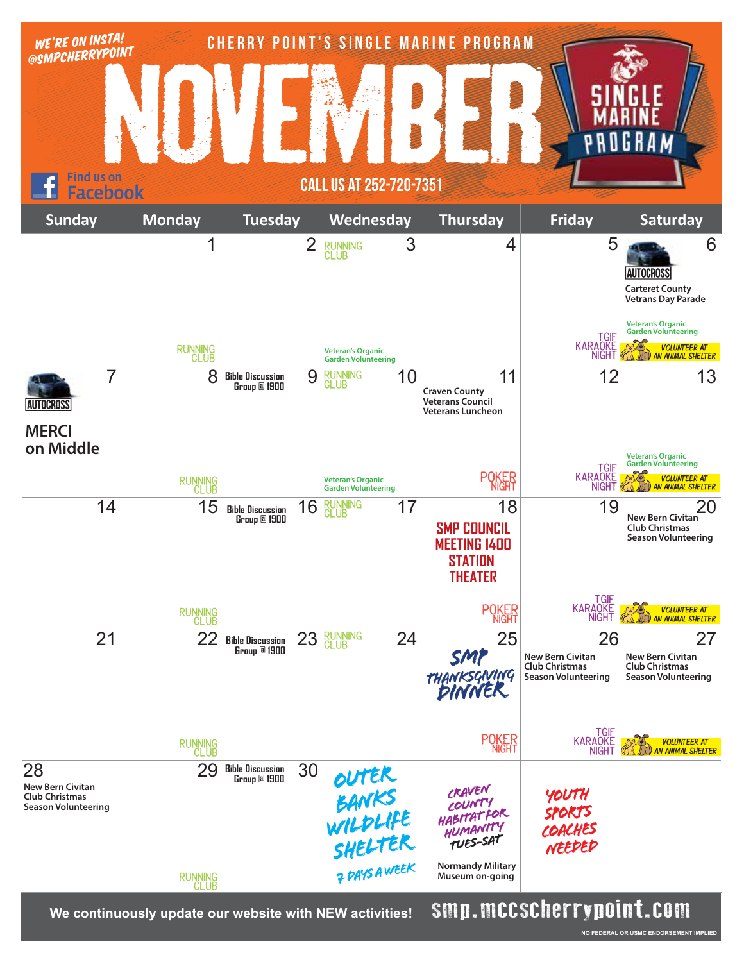| WE'RE ON INSTA!<br>@SMPCHERRYPOINT                                            |                     |                                               | <b>CHERRY POINT'S SINGLE MARINE PROGRAM</b>                |                                                                                     |                                                                                      |                                                                                                                                                               |
|-------------------------------------------------------------------------------|---------------------|-----------------------------------------------|------------------------------------------------------------|-------------------------------------------------------------------------------------|--------------------------------------------------------------------------------------|---------------------------------------------------------------------------------------------------------------------------------------------------------------|
|                                                                               |                     |                                               |                                                            |                                                                                     |                                                                                      | 6 K                                                                                                                                                           |
| Find us on<br><b>CALL US AT 252-720-7351</b>                                  |                     |                                               |                                                            |                                                                                     |                                                                                      |                                                                                                                                                               |
| <b>Sunday</b>                                                                 | <b>Monday</b>       | <b>Tuesday</b>                                | Wednesday                                                  | <b>Thursday</b>                                                                     | <b>Friday</b>                                                                        | Saturday                                                                                                                                                      |
|                                                                               | 1<br><b>RUNNING</b> | $\overline{2}$                                | 3<br>RUNNING<br>CLUB<br><b>Veteran's Organic</b>           | $\overline{4}$                                                                      | 5<br><b>TGIF</b><br><b>KARAOKE</b>                                                   | 6<br><b>AUTOCROSS</b><br><b>Carteret County</b><br><b>Vetrans Day Parade</b><br><b>Veteran's Organic</b><br><b>Garden Volunteering</b><br><b>VOLUNTEER AT</b> |
| 7                                                                             | <b>CLUB</b><br>8    | 9<br><b>Bible Discussion</b><br>Group @ 1900  | <b>Garden Volunteering</b><br>10<br><b>RUNNING</b><br>CLUB | 11                                                                                  | <b>NIGHT</b><br>12                                                                   | <b>AN ANIMAL SHELTER</b><br>13                                                                                                                                |
| <b>AUTOCROSS</b>                                                              |                     |                                               |                                                            | <b>Craven County</b><br><b>Veterans Council</b><br><b>Veterans Luncheon</b>         |                                                                                      |                                                                                                                                                               |
| <b>MERCI</b><br>on Middle                                                     |                     |                                               |                                                            |                                                                                     | <b>TGIF</b>                                                                          | <b>Veteran's Organic</b><br><b>Garden Volunteering</b>                                                                                                        |
|                                                                               | RUNNING<br>CLUB     |                                               | <b>Veteran's Organic</b><br><b>Garden Volunteering</b>     | <b>POKER</b>                                                                        | <b>KARAOKE</b><br><b>NIGHT</b>                                                       | O.<br>VOLUNTEER AT<br>AN ANIMAL SHELTER                                                                                                                       |
| 14                                                                            | 15                  | 16<br><b>Bible Discussion</b><br>Group @ 1900 | <b>RUNNING</b><br>17<br><b>CLUB</b>                        | 18<br><b>SMP COUNCIL</b><br><b>MEETING 1400</b><br><b>STATION</b><br><b>THEATER</b> | 19                                                                                   | 20<br>New Bern Civitan<br><b>Club Christmas</b><br><b>Season Volunteering</b>                                                                                 |
|                                                                               | RUNNING<br>CLUB     |                                               |                                                            | <b>POKER</b>                                                                        | TGIF<br>KARAOKE<br><b>NIGHT</b>                                                      | <b>VOLUNTEER AT</b><br><b>AN ANIMAL SHELTER</b>                                                                                                               |
| 21                                                                            | 22                  | 23<br><b>Bible Discussion</b><br>Group @ 1900 | RUNNING<br>CLUB<br>24                                      | 25<br>SMP<br>THANKSGNING                                                            | 26<br><b>New Bern Civitan</b><br><b>Club Christmas</b><br><b>Season Volunteering</b> | 27<br><b>New Bern Civitan</b><br><b>Club Christmas</b><br><b>Season Volunteering</b>                                                                          |
|                                                                               | RUNNING<br>CLUB     |                                               |                                                            | <b>POKER</b>                                                                        | TGIF<br>KARAQKE<br><b>NIGHT</b>                                                      | VOLUNTEER AT<br>AN ANIMAL SHELTER                                                                                                                             |
| 28<br><b>New Bern Civitan</b><br><b>Club Christmas</b><br>Season Volunteering | 29                  | 30<br><b>Bible Discussion</b><br>Group @ 1900 | OUTER<br>BANKS<br>WILDLIFE<br>SHELTER<br>PRYSAWEEK         | CRAVEN<br>COUNTY<br>HABITATFOR<br>HUMANITY<br>TUES-SAT                              | YOUTH<br>SPORTS<br>COACHES<br>NEEDED                                                 |                                                                                                                                                               |
|                                                                               | RUNNING<br>CLUB     |                                               |                                                            | <b>Normandy Military</b><br>Museum on-going                                         |                                                                                      |                                                                                                                                                               |
|                                                                               |                     |                                               |                                                            |                                                                                     | emn meeechorrungint egm                                                              |                                                                                                                                                               |

We continuously update our website with NEW activities! **SMP.MCCSCHETTYPUINT.CUM** 

**NO FEDERAL OR USMC ENDORSEMENT IMPLIED**